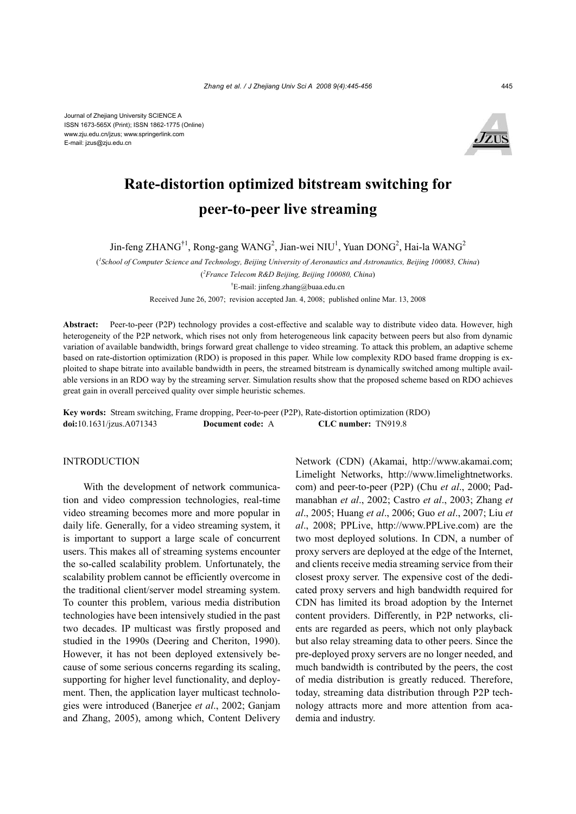Journal of Zhejiang University SCIENCE A ISSN 1673-565X (Print); ISSN 1862-1775 (Online) www.zju.edu.cn/jzus; www.springerlink.com E-mail: jzus@zju.edu.cn



# **Rate-distortion optimized bitstream switching for peer-to-peer live streaming**

Jin-feng ZHANG<sup>†1</sup>, Rong-gang WANG<sup>2</sup>, Jian-wei NIU<sup>1</sup>, Yuan DONG<sup>2</sup>, Hai-la WANG<sup>2</sup>

( *1 School of Computer Science and Technology, Beijing University of Aeronautics and Astronautics, Beijing 100083, China*)

( *2 France Telecom R&D Beijing, Beijing 100080, China*)

† E-mail: jinfeng.zhang@buaa.edu.cn

Received June 26, 2007; revision accepted Jan. 4, 2008; published online Mar. 13, 2008

**Abstract:** Peer-to-peer (P2P) technology provides a cost-effective and scalable way to distribute video data. However, high heterogeneity of the P2P network, which rises not only from heterogeneous link capacity between peers but also from dynamic variation of available bandwidth, brings forward great challenge to video streaming. To attack this problem, an adaptive scheme based on rate-distortion optimization (RDO) is proposed in this paper. While low complexity RDO based frame dropping is exploited to shape bitrate into available bandwidth in peers, the streamed bitstream is dynamically switched among multiple available versions in an RDO way by the streaming server. Simulation results show that the proposed scheme based on RDO achieves great gain in overall perceived quality over simple heuristic schemes.

**Key words:** Stream switching, Frame dropping, Peer-to-peer (P2P), Rate-distortion optimization (RDO) **doi:**10.1631/jzus.A071343 **Document code:** A **CLC number:** TN919.8

## **INTRODUCTION**

With the development of network communication and video compression technologies, real-time video streaming becomes more and more popular in daily life. Generally, for a video streaming system, it is important to support a large scale of concurrent users. This makes all of streaming systems encounter the so-called scalability problem. Unfortunately, the scalability problem cannot be efficiently overcome in the traditional client/server model streaming system. To counter this problem, various media distribution technologies have been intensively studied in the past two decades. IP multicast was firstly proposed and studied in the 1990s (Deering and Cheriton, 1990). However, it has not been deployed extensively because of some serious concerns regarding its scaling, supporting for higher level functionality, and deployment. Then, the application layer multicast technologies were introduced (Banerjee *et al*., 2002; Ganjam and Zhang, 2005), among which, Content Delivery

Network (CDN) (Akamai, http://www.akamai.com; Limelight Networks, http://www.limelightnetworks. com) and peer-to-peer (P2P) (Chu *et al*., 2000; Padmanabhan *et al*., 2002; Castro *et al*., 2003; Zhang *et al*., 2005; Huang *et al*., 2006; Guo *et al*., 2007; Liu *et al*., 2008; PPLive, http://www.PPLive.com) are the two most deployed solutions. In CDN, a number of proxy servers are deployed at the edge of the Internet, and clients receive media streaming service from their closest proxy server. The expensive cost of the dedicated proxy servers and high bandwidth required for CDN has limited its broad adoption by the Internet content providers. Differently, in P2P networks, clients are regarded as peers, which not only playback but also relay streaming data to other peers. Since the pre-deployed proxy servers are no longer needed, and much bandwidth is contributed by the peers, the cost of media distribution is greatly reduced. Therefore, today, streaming data distribution through P2P technology attracts more and more attention from academia and industry.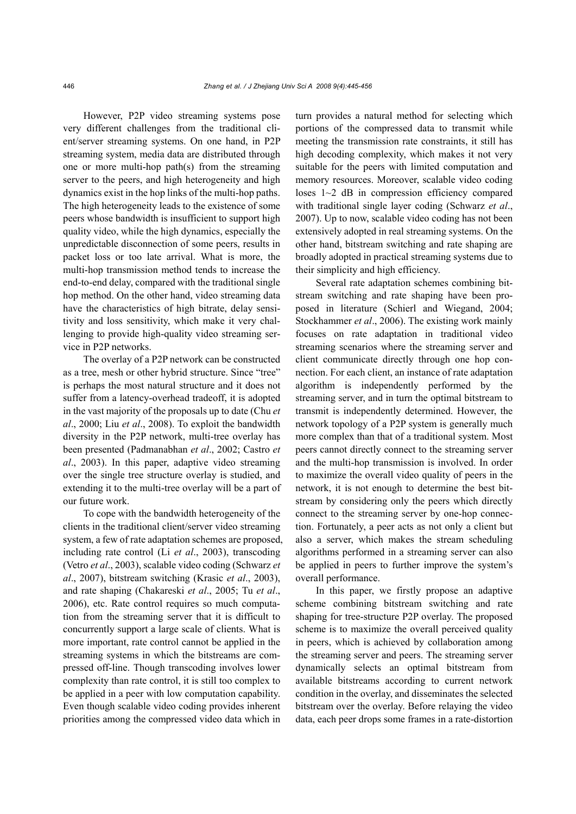However, P2P video streaming systems pose very different challenges from the traditional client/server streaming systems. On one hand, in P2P streaming system, media data are distributed through one or more multi-hop path(s) from the streaming server to the peers, and high heterogeneity and high dynamics exist in the hop links of the multi-hop paths. The high heterogeneity leads to the existence of some peers whose bandwidth is insufficient to support high quality video, while the high dynamics, especially the unpredictable disconnection of some peers, results in packet loss or too late arrival. What is more, the multi-hop transmission method tends to increase the end-to-end delay, compared with the traditional single hop method. On the other hand, video streaming data have the characteristics of high bitrate, delay sensitivity and loss sensitivity, which make it very challenging to provide high-quality video streaming service in P2P networks.

The overlay of a P2P network can be constructed as a tree, mesh or other hybrid structure. Since "tree" is perhaps the most natural structure and it does not suffer from a latency-overhead tradeoff, it is adopted in the vast majority of the proposals up to date (Chu *et al*., 2000; Liu *et al*., 2008). To exploit the bandwidth diversity in the P2P network, multi-tree overlay has been presented (Padmanabhan *et al*., 2002; Castro *et al*., 2003). In this paper, adaptive video streaming over the single tree structure overlay is studied, and extending it to the multi-tree overlay will be a part of our future work.

To cope with the bandwidth heterogeneity of the clients in the traditional client/server video streaming system, a few of rate adaptation schemes are proposed, including rate control (Li *et al*., 2003), transcoding (Vetro *et al*., 2003), scalable video coding (Schwarz *et al*., 2007), bitstream switching (Krasic *et al*., 2003), and rate shaping (Chakareski *et al*., 2005; Tu *et al*., 2006), etc. Rate control requires so much computation from the streaming server that it is difficult to concurrently support a large scale of clients. What is more important, rate control cannot be applied in the streaming systems in which the bitstreams are compressed off-line. Though transcoding involves lower complexity than rate control, it is still too complex to be applied in a peer with low computation capability. Even though scalable video coding provides inherent priorities among the compressed video data which in

turn provides a natural method for selecting which portions of the compressed data to transmit while meeting the transmission rate constraints, it still has high decoding complexity, which makes it not very suitable for the peers with limited computation and memory resources. Moreover, scalable video coding loses 1~2 dB in compression efficiency compared with traditional single layer coding (Schwarz *et al*., 2007). Up to now, scalable video coding has not been extensively adopted in real streaming systems. On the other hand, bitstream switching and rate shaping are broadly adopted in practical streaming systems due to their simplicity and high efficiency.

Several rate adaptation schemes combining bitstream switching and rate shaping have been proposed in literature (Schierl and Wiegand, 2004; Stockhammer *et al*., 2006). The existing work mainly focuses on rate adaptation in traditional video streaming scenarios where the streaming server and client communicate directly through one hop connection. For each client, an instance of rate adaptation algorithm is independently performed by the streaming server, and in turn the optimal bitstream to transmit is independently determined. However, the network topology of a P2P system is generally much more complex than that of a traditional system. Most peers cannot directly connect to the streaming server and the multi-hop transmission is involved. In order to maximize the overall video quality of peers in the network, it is not enough to determine the best bitstream by considering only the peers which directly connect to the streaming server by one-hop connection. Fortunately, a peer acts as not only a client but also a server, which makes the stream scheduling algorithms performed in a streaming server can also be applied in peers to further improve the system's overall performance.

In this paper, we firstly propose an adaptive scheme combining bitstream switching and rate shaping for tree-structure P2P overlay. The proposed scheme is to maximize the overall perceived quality in peers, which is achieved by collaboration among the streaming server and peers. The streaming server dynamically selects an optimal bitstream from available bitstreams according to current network condition in the overlay, and disseminates the selected bitstream over the overlay. Before relaying the video data, each peer drops some frames in a rate-distortion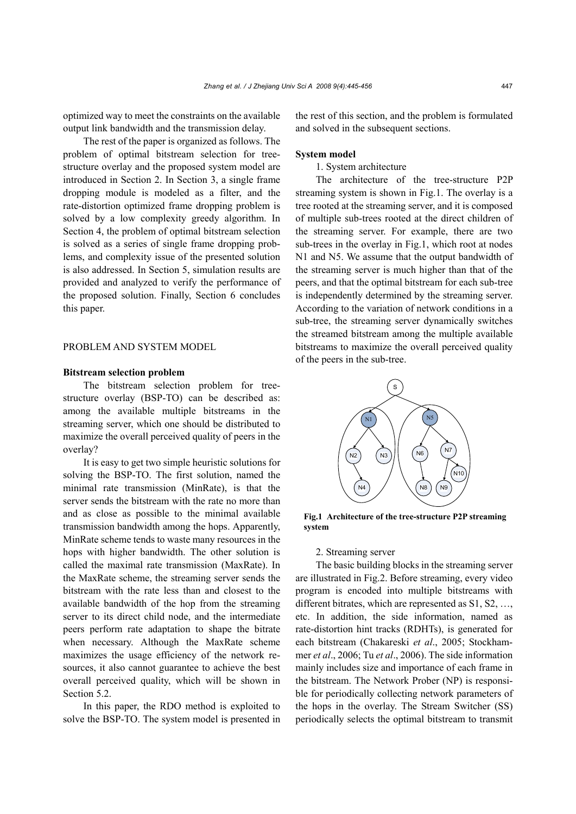optimized way to meet the constraints on the available output link bandwidth and the transmission delay.

The rest of the paper is organized as follows. The problem of optimal bitstream selection for treestructure overlay and the proposed system model are introduced in Section 2. In Section 3, a single frame dropping module is modeled as a filter, and the rate-distortion optimized frame dropping problem is solved by a low complexity greedy algorithm. In Section 4, the problem of optimal bitstream selection is solved as a series of single frame dropping problems, and complexity issue of the presented solution is also addressed. In Section 5, simulation results are provided and analyzed to verify the performance of the proposed solution. Finally, Section 6 concludes this paper.

# PROBLEM AND SYSTEM MODEL

#### **Bitstream selection problem**

The bitstream selection problem for treestructure overlay (BSP-TO) can be described as: among the available multiple bitstreams in the streaming server, which one should be distributed to maximize the overall perceived quality of peers in the overlay?

It is easy to get two simple heuristic solutions for solving the BSP-TO. The first solution, named the minimal rate transmission (MinRate), is that the server sends the bitstream with the rate no more than and as close as possible to the minimal available transmission bandwidth among the hops. Apparently, MinRate scheme tends to waste many resources in the hops with higher bandwidth. The other solution is called the maximal rate transmission (MaxRate). In the MaxRate scheme, the streaming server sends the bitstream with the rate less than and closest to the available bandwidth of the hop from the streaming server to its direct child node, and the intermediate peers perform rate adaptation to shape the bitrate when necessary. Although the MaxRate scheme maximizes the usage efficiency of the network resources, it also cannot guarantee to achieve the best overall perceived quality, which will be shown in Section 5.2.

In this paper, the RDO method is exploited to solve the BSP-TO. The system model is presented in the rest of this section, and the problem is formulated and solved in the subsequent sections.

### **System model**

# 1. System architecture

The architecture of the tree-structure P2P streaming system is shown in Fig.1. The overlay is a tree rooted at the streaming server, and it is composed of multiple sub-trees rooted at the direct children of the streaming server. For example, there are two sub-trees in the overlay in Fig.1, which root at nodes N1 and N5. We assume that the output bandwidth of the streaming server is much higher than that of the peers, and that the optimal bitstream for each sub-tree is independently determined by the streaming server. According to the variation of network conditions in a sub-tree, the streaming server dynamically switches the streamed bitstream among the multiple available bitstreams to maximize the overall perceived quality of the peers in the sub-tree.



**Fig.1 Architecture of the tree-structure P2P streaming system**

#### 2. Streaming server

The basic building blocks in the streaming server are illustrated in Fig.2. Before streaming, every video program is encoded into multiple bitstreams with different bitrates, which are represented as S1, S2, …, etc. In addition, the side information, named as rate-distortion hint tracks (RDHTs), is generated for each bitstream (Chakareski *et al*., 2005; Stockhammer *et al*., 2006; Tu *et al*., 2006). The side information mainly includes size and importance of each frame in the bitstream. The Network Prober (NP) is responsible for periodically collecting network parameters of the hops in the overlay. The Stream Switcher (SS) periodically selects the optimal bitstream to transmit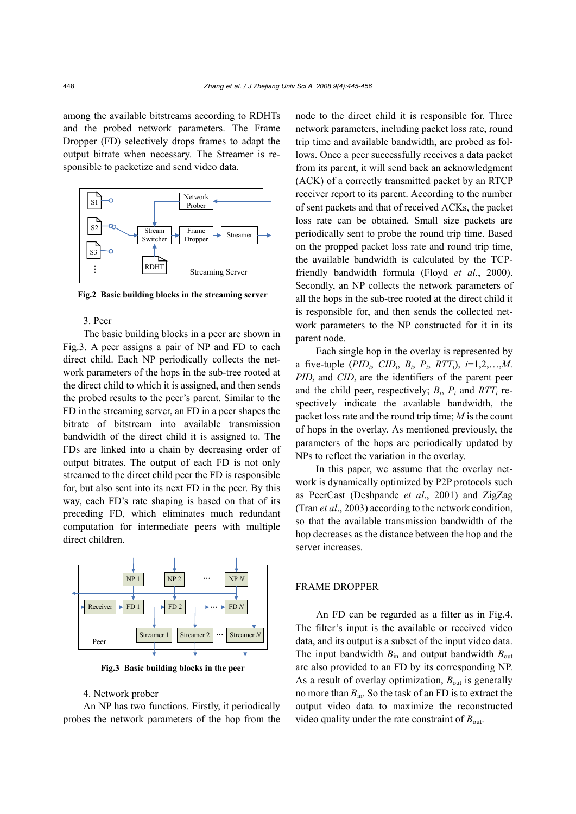among the available bitstreams according to RDHTs and the probed network parameters. The Frame Dropper (FD) selectively drops frames to adapt the output bitrate when necessary. The Streamer is responsible to packetize and send video data.



**Fig.2 Basic building blocks in the streaming server**

## 3. Peer

The basic building blocks in a peer are shown in Fig.3. A peer assigns a pair of NP and FD to each direct child. Each NP periodically collects the network parameters of the hops in the sub-tree rooted at the direct child to which it is assigned, and then sends the probed results to the peer's parent. Similar to the FD in the streaming server, an FD in a peer shapes the bitrate of bitstream into available transmission bandwidth of the direct child it is assigned to. The FDs are linked into a chain by decreasing order of output bitrates. The output of each FD is not only streamed to the direct child peer the FD is responsible for, but also sent into its next FD in the peer. By this way, each FD's rate shaping is based on that of its preceding FD, which eliminates much redundant computation for intermediate peers with multiple direct children.



**Fig.3 Basic building blocks in the peer**

#### 4. Network prober

An NP has two functions. Firstly, it periodically probes the network parameters of the hop from the node to the direct child it is responsible for. Three network parameters, including packet loss rate, round trip time and available bandwidth, are probed as follows. Once a peer successfully receives a data packet from its parent, it will send back an acknowledgment (ACK) of a correctly transmitted packet by an RTCP receiver report to its parent. According to the number of sent packets and that of received ACKs, the packet loss rate can be obtained. Small size packets are periodically sent to probe the round trip time. Based on the propped packet loss rate and round trip time, the available bandwidth is calculated by the TCPfriendly bandwidth formula (Floyd *et al*., 2000). Secondly, an NP collects the network parameters of all the hops in the sub-tree rooted at the direct child it is responsible for, and then sends the collected network parameters to the NP constructed for it in its parent node.

Each single hop in the overlay is represented by a five-tuple (*PIDi*, *CIDi*, *Bi*, *Pi*, *RTTi*), *i*=1,2,…,*M*.  $PID_i$  and  $CID_i$  are the identifiers of the parent peer and the child peer, respectively;  $B_i$ ,  $P_i$  and  $RTT_i$  respectively indicate the available bandwidth, the packet loss rate and the round trip time; *M* is the count of hops in the overlay. As mentioned previously, the parameters of the hops are periodically updated by NPs to reflect the variation in the overlay.

In this paper, we assume that the overlay network is dynamically optimized by P2P protocols such as PeerCast (Deshpande *et al*., 2001) and ZigZag (Tran *et al*., 2003) according to the network condition, so that the available transmission bandwidth of the hop decreases as the distance between the hop and the server increases.

# FRAME DROPPER

An FD can be regarded as a filter as in Fig.4. The filter's input is the available or received video data, and its output is a subset of the input video data. The input bandwidth  $B_{\text{in}}$  and output bandwidth  $B_{\text{out}}$ are also provided to an FD by its corresponding NP. As a result of overlay optimization,  $B_{\text{out}}$  is generally no more than  $B_{\text{in}}$ . So the task of an FD is to extract the output video data to maximize the reconstructed video quality under the rate constraint of  $B_{\text{out}}$ .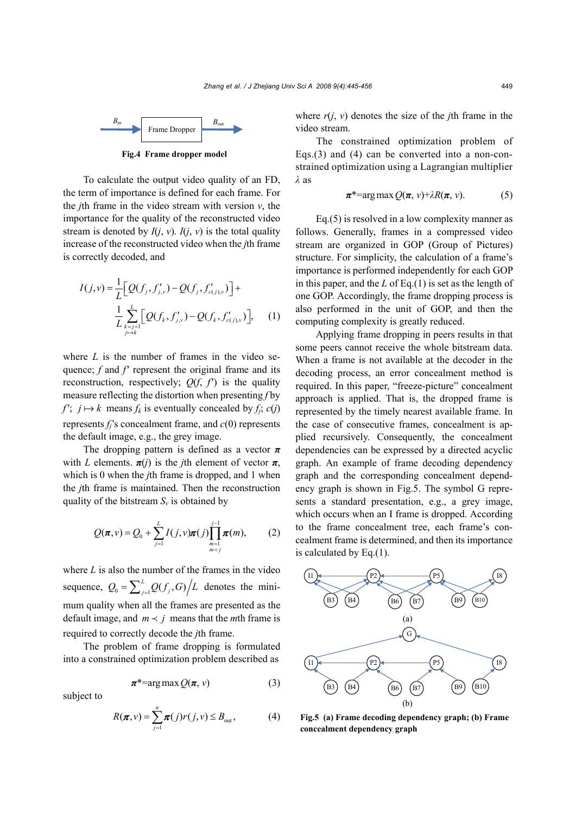

**Fig.4 Frame dropper model**

To calculate the output video quality of an FD, the term of importance is defined for each frame. For the *j*th frame in the video stream with version  $v$ , the importance for the quality of the reconstructed video stream is denoted by  $I(j, v)$ .  $I(j, v)$  is the total quality increase of the reconstructed video when the *j*th frame is correctly decoded, and

$$
I(j, v) = \frac{1}{L} \Big[ Q(f_j, f'_{j, v}) - Q(f_j, f'_{c(j), v}) \Big] +
$$
  

$$
\frac{1}{L} \sum_{\substack{k=j+1 \\ j \to k}}^{L} \Big[ Q(f_k, f'_{j, v}) - Q(f_k, f'_{c(j), v}) \Big], \quad (1)
$$

where *L* is the number of frames in the video sequence; *f* and *f'* represent the original frame and its reconstruction, respectively;  $Q(f, f')$  is the quality measure reflecting the distortion when presenting *f* by  $f'$ ;  $j \mapsto k$  means  $f_k$  is eventually concealed by  $f_i$ ;  $c(j)$ represents *fj*'s concealment frame, and *c*(0) represents the default image, e.g., the grey image.

The dropping pattern is defined as a vector *π* with *L* elements.  $\pi(i)$  is the *j*th element of vector  $\pi$ , which is 0 when the *j*th frame is dropped, and 1 when the *j*th frame is maintained. Then the reconstruction quality of the bitstream  $S_v$  is obtained by

$$
Q(\pi, v) = Q_0 + \sum_{j=1}^{L} I(j, v) \pi(j) \prod_{\substack{m=1 \ m \prec j}}^{j-1} \pi(m),
$$
 (2)

where *L* is also the number of the frames in the video sequence,  $Q_0 = \sum_{j=1}^{L} Q(f_j, G) / L$  denotes the minimum quality when all the frames are presented as the default image, and  $m \prec j$  means that the *m*th frame is required to correctly decode the *j*th frame.

The problem of frame dropping is formulated into a constrained optimization problem described as

$$
\pi^* = \arg \max Q(\pi, \nu) \tag{3}
$$

subject to

$$
R(\boldsymbol{\pi}, v) = \sum_{j=1}^{n} \boldsymbol{\pi}(j) r(j, v) \leq B_{\text{out}}, \tag{4}
$$

where  $r(j, v)$  denotes the size of the *j*th frame in the video stream.

The constrained optimization problem of Eqs.(3) and (4) can be converted into a non-constrained optimization using a Lagrangian multiplier *λ* as

$$
\pi^* = \arg \max Q(\pi, v) + \lambda R(\pi, v).
$$
 (5)

Eq.(5) is resolved in a low complexity manner as follows. Generally, frames in a compressed video stream are organized in GOP (Group of Pictures) structure. For simplicity, the calculation of a frame's importance is performed independently for each GOP in this paper, and the *L* of Eq.(1) is set as the length of one GOP. Accordingly, the frame dropping process is also performed in the unit of GOP, and then the computing complexity is greatly reduced.

Applying frame dropping in peers results in that some peers cannot receive the whole bitstream data. When a frame is not available at the decoder in the decoding process, an error concealment method is required. In this paper, "freeze-picture" concealment approach is applied. That is, the dropped frame is represented by the timely nearest available frame. In the case of consecutive frames, concealment is applied recursively. Consequently, the concealment dependencies can be expressed by a directed acyclic graph. An example of frame decoding dependency graph and the corresponding concealment dependency graph is shown in Fig.5. The symbol G represents a standard presentation, e.g., a grey image, which occurs when an I frame is dropped. According to the frame concealment tree, each frame's concealment frame is determined, and then its importance is calculated by Eq.(1).



**Fig.5 (a) Frame decoding dependency graph; (b) Frame concealment dependency graph**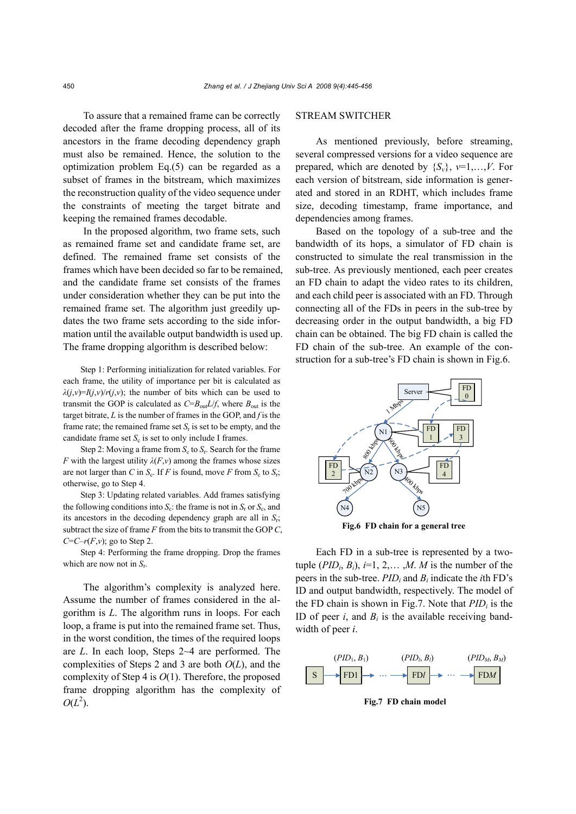To assure that a remained frame can be correctly decoded after the frame dropping process, all of its ancestors in the frame decoding dependency graph must also be remained. Hence, the solution to the optimization problem Eq.(5) can be regarded as a subset of frames in the bitstream, which maximizes the reconstruction quality of the video sequence under the constraints of meeting the target bitrate and keeping the remained frames decodable.

In the proposed algorithm, two frame sets, such as remained frame set and candidate frame set, are defined. The remained frame set consists of the frames which have been decided so far to be remained, and the candidate frame set consists of the frames under consideration whether they can be put into the remained frame set. The algorithm just greedily updates the two frame sets according to the side information until the available output bandwidth is used up. The frame dropping algorithm is described below:

Step 1: Performing initialization for related variables. For each frame, the utility of importance per bit is calculated as  $\lambda(j, v) = I(j, v)/r(j, v)$ ; the number of bits which can be used to transmit the GOP is calculated as  $C = B_{\text{out}} L/f$ , where  $B_{\text{out}}$  is the target bitrate, *L* is the number of frames in the GOP, and *f* is the frame rate; the remained frame set  $S_r$  is set to be empty, and the candidate frame set  $S_c$  is set to only include I frames.

Step 2: Moving a frame from  $S_c$  to  $S_r$ . Search for the frame *F* with the largest utility  $\lambda(F, v)$  among the frames whose sizes are not larger than *C* in  $S_c$ . If *F* is found, move *F* from  $S_c$  to  $S_r$ ; otherwise, go to Step 4.

Step 3: Updating related variables. Add frames satisfying the following conditions into  $S_c$ : the frame is not in  $S_r$  or  $S_c$ , and its ancestors in the decoding dependency graph are all in *S*r; subtract the size of frame *F* from the bits to transmit the GOP *C*,  $C=C-r(F, v)$ ; go to Step 2.

Step 4: Performing the frame dropping. Drop the frames which are now not in *S*r.

The algorithm's complexity is analyzed here. Assume the number of frames considered in the algorithm is *L*. The algorithm runs in loops. For each loop, a frame is put into the remained frame set. Thus, in the worst condition, the times of the required loops are *L*. In each loop, Steps 2~4 are performed. The complexities of Steps 2 and 3 are both *O*(*L*), and the complexity of Step 4 is *O*(1). Therefore, the proposed frame dropping algorithm has the complexity of  $O(L^2)$ .

# STREAM SWITCHER

As mentioned previously, before streaming, several compressed versions for a video sequence are prepared, which are denoted by  ${S_v}$ ,  ${v=1,...,V}$ . For each version of bitstream, side information is generated and stored in an RDHT, which includes frame size, decoding timestamp, frame importance, and dependencies among frames.

Based on the topology of a sub-tree and the bandwidth of its hops, a simulator of FD chain is constructed to simulate the real transmission in the sub-tree. As previously mentioned, each peer creates an FD chain to adapt the video rates to its children, and each child peer is associated with an FD. Through connecting all of the FDs in peers in the sub-tree by decreasing order in the output bandwidth, a big FD chain can be obtained. The big FD chain is called the FD chain of the sub-tree. An example of the construction for a sub-tree's FD chain is shown in Fig.6.



**Fig.6 FD chain for a general tree**

Each FD in a sub-tree is represented by a twotuple  $(PID_i, B_i)$ ,  $i=1, 2,..., M$ . *M* is the number of the peers in the sub-tree. *PIDi* and *Bi* indicate the *i*th FD's ID and output bandwidth, respectively. The model of the FD chain is shown in Fig.7. Note that *PIDi* is the ID of peer  $i$ , and  $B_i$  is the available receiving bandwidth of peer *i*.



**Fig.7 FD chain model**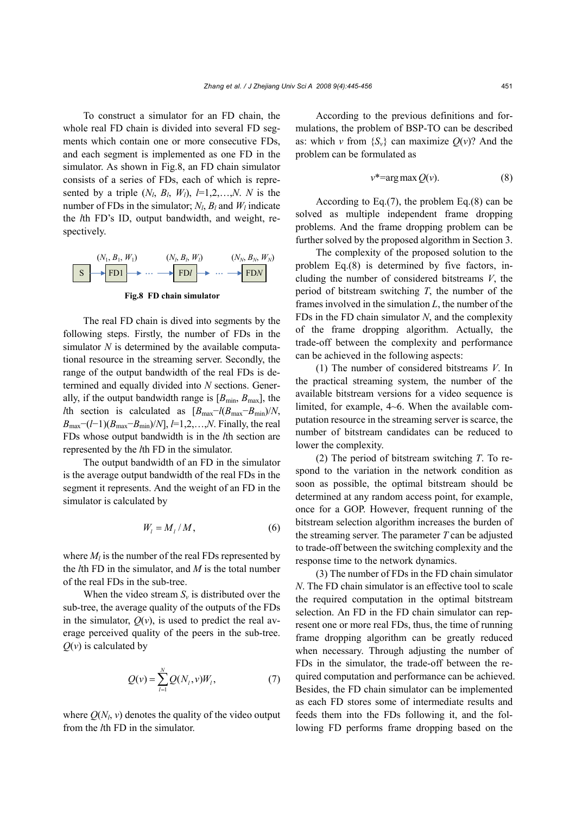To construct a simulator for an FD chain, the whole real FD chain is divided into several FD segments which contain one or more consecutive FDs, and each segment is implemented as one FD in the simulator. As shown in Fig.8, an FD chain simulator consists of a series of FDs, each of which is represented by a triple  $(N_l, B_l, W_l)$ ,  $l=1,2,...,N$ . *N* is the number of FDs in the simulator;  $N_l$ ,  $B_l$  and  $W_l$  indicate the *l*th FD's ID, output bandwidth, and weight, respectively.



**Fig.8 FD chain simulator**

The real FD chain is dived into segments by the following steps. Firstly, the number of FDs in the simulator *N* is determined by the available computational resource in the streaming server. Secondly, the range of the output bandwidth of the real FDs is determined and equally divided into *N* sections. Generally, if the output bandwidth range is  $[B_{\min}, B_{\max}]$ , the *l*th section is calculated as  $[B_{\text{max}} - l(B_{\text{max}} - B_{\text{min}})/N$ ,  $B_{\text{max}}-(l-1)(B_{\text{max}}-B_{\text{min}})/N$ ,  $l=1,2,...,N$ . Finally, the real FDs whose output bandwidth is in the *l*th section are represented by the *l*th FD in the simulator.

The output bandwidth of an FD in the simulator is the average output bandwidth of the real FDs in the segment it represents. And the weight of an FD in the simulator is calculated by

$$
W_l = M_l / M, \tag{6}
$$

where  $M_l$  is the number of the real FDs represented by the *l*th FD in the simulator, and *M* is the total number of the real FDs in the sub-tree.

When the video stream  $S_v$  is distributed over the sub-tree, the average quality of the outputs of the FDs in the simulator,  $O(v)$ , is used to predict the real average perceived quality of the peers in the sub-tree.  $Q(v)$  is calculated by

$$
Q(v) = \sum_{l=1}^{N} Q(N_l, v) W_l,
$$
 (7)

where  $Q(N_l, v)$  denotes the quality of the video output from the *l*th FD in the simulator.

According to the previous definitions and formulations, the problem of BSP-TO can be described as: which *v* from  ${S_v}$  can maximize  $O(v)$ ? And the problem can be formulated as

$$
v^* = \arg\max Q(v). \tag{8}
$$

According to Eq.(7), the problem Eq.(8) can be solved as multiple independent frame dropping problems. And the frame dropping problem can be further solved by the proposed algorithm in Section 3.

The complexity of the proposed solution to the problem Eq.(8) is determined by five factors, including the number of considered bitstreams *V*, the period of bitstream switching *T*, the number of the frames involved in the simulation *L*, the number of the FDs in the FD chain simulator *N*, and the complexity of the frame dropping algorithm. Actually, the trade-off between the complexity and performance can be achieved in the following aspects:

(1) The number of considered bitstreams *V*. In the practical streaming system, the number of the available bitstream versions for a video sequence is limited, for example, 4~6. When the available computation resource in the streaming server is scarce, the number of bitstream candidates can be reduced to lower the complexity.

(2) The period of bitstream switching *T*. To respond to the variation in the network condition as soon as possible, the optimal bitstream should be determined at any random access point, for example, once for a GOP. However, frequent running of the bitstream selection algorithm increases the burden of the streaming server. The parameter *T* can be adjusted to trade-off between the switching complexity and the response time to the network dynamics.

(3) The number of FDs in the FD chain simulator *N*. The FD chain simulator is an effective tool to scale the required computation in the optimal bitstream selection. An FD in the FD chain simulator can represent one or more real FDs, thus, the time of running frame dropping algorithm can be greatly reduced when necessary. Through adjusting the number of FDs in the simulator, the trade-off between the required computation and performance can be achieved. Besides, the FD chain simulator can be implemented as each FD stores some of intermediate results and feeds them into the FDs following it, and the following FD performs frame dropping based on the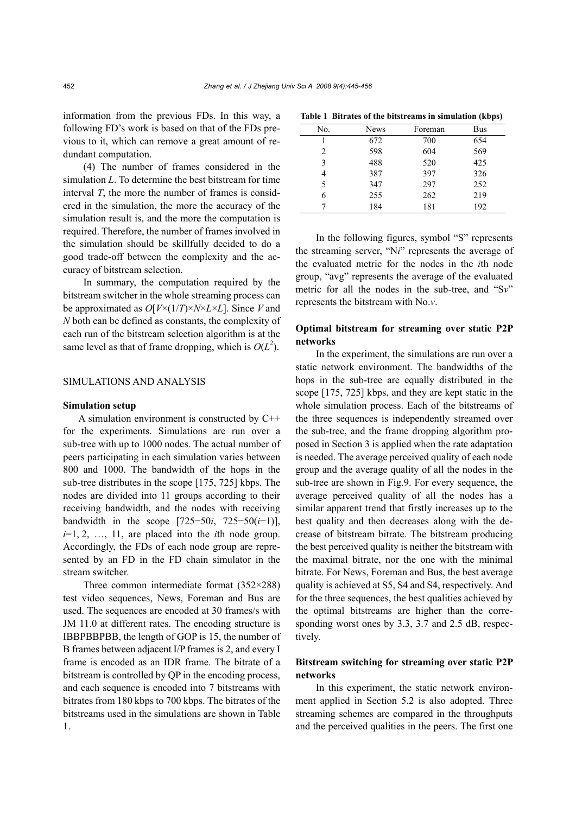information from the previous FDs. In this way, a following FD's work is based on that of the FDs previous to it, which can remove a great amount of redundant computation.

(4) The number of frames considered in the simulation *L*. To determine the best bitstream for time interval *T*, the more the number of frames is considered in the simulation, the more the accuracy of the simulation result is, and the more the computation is required. Therefore, the number of frames involved in the simulation should be skillfully decided to do a good trade-off between the complexity and the accuracy of bitstream selection.

In summary, the computation required by the bitstream switcher in the whole streaming process can be approximated as *O*[*V*×(1/*T*)×*N*×*L*×*L*]. Since *V* and *N* both can be defined as constants, the complexity of each run of the bitstream selection algorithm is at the same level as that of frame dropping, which is  $O(L^2)$ .

### SIMULATIONS AND ANALYSIS

#### **Simulation setup**

A simulation environment is constructed by C++ for the experiments. Simulations are run over a sub-tree with up to 1000 nodes. The actual number of peers participating in each simulation varies between 800 and 1000. The bandwidth of the hops in the sub-tree distributes in the scope [175, 725] kbps. The nodes are divided into 11 groups according to their receiving bandwidth, and the nodes with receiving bandwidth in the scope [725−50*i*, 725−50(*i*−1)],  $i=1, 2, \ldots, 11$ , are placed into the *i*th node group. Accordingly, the FDs of each node group are represented by an FD in the FD chain simulator in the stream switcher.

Three common intermediate format (352×288) test video sequences, News, Foreman and Bus are used. The sequences are encoded at 30 frames/s with JM 11.0 at different rates. The encoding structure is IBBPBBPBB, the length of GOP is 15, the number of B frames between adjacent I/P frames is 2, and every I frame is encoded as an IDR frame. The bitrate of a bitstream is controlled by QP in the encoding process, and each sequence is encoded into 7 bitstreams with bitrates from 180 kbps to 700 kbps. The bitrates of the bitstreams used in the simulations are shown in Table 1.

**Table 1 Bitrates of the bitstreams in simulation (kbps)**

| No. | News | Foreman | Bus |
|-----|------|---------|-----|
|     | 672  | 700     | 654 |
| 2   | 598  | 604     | 569 |
| 3   | 488  | 520     | 425 |
| 4   | 387  | 397     | 326 |
| 5   | 347  | 297     | 252 |
| 6   | 255  | 262     | 219 |
|     | 184  | 181     | 192 |

In the following figures, symbol "S" represents the streaming server, "N*i*" represents the average of the evaluated metric for the nodes in the *i*th node group, "avg" represents the average of the evaluated metric for all the nodes in the sub-tree, and "S*v*" represents the bitstream with No.*v*.

# **Optimal bitstream for streaming over static P2P networks**

In the experiment, the simulations are run over a static network environment. The bandwidths of the hops in the sub-tree are equally distributed in the scope [175, 725] kbps, and they are kept static in the whole simulation process. Each of the bitstreams of the three sequences is independently streamed over the sub-tree, and the frame dropping algorithm proposed in Section 3 is applied when the rate adaptation is needed. The average perceived quality of each node group and the average quality of all the nodes in the sub-tree are shown in Fig.9. For every sequence, the average perceived quality of all the nodes has a similar apparent trend that firstly increases up to the best quality and then decreases along with the decrease of bitstream bitrate. The bitstream producing the best perceived quality is neither the bitstream with the maximal bitrate, nor the one with the minimal bitrate. For News, Foreman and Bus, the best average quality is achieved at S5, S4 and S4, respectively. And for the three sequences, the best qualities achieved by the optimal bitstreams are higher than the corresponding worst ones by 3.3, 3.7 and 2.5 dB, respectively.

# **Bitstream switching for streaming over static P2P networks**

In this experiment, the static network environment applied in Section 5.2 is also adopted. Three streaming schemes are compared in the throughputs and the perceived qualities in the peers. The first one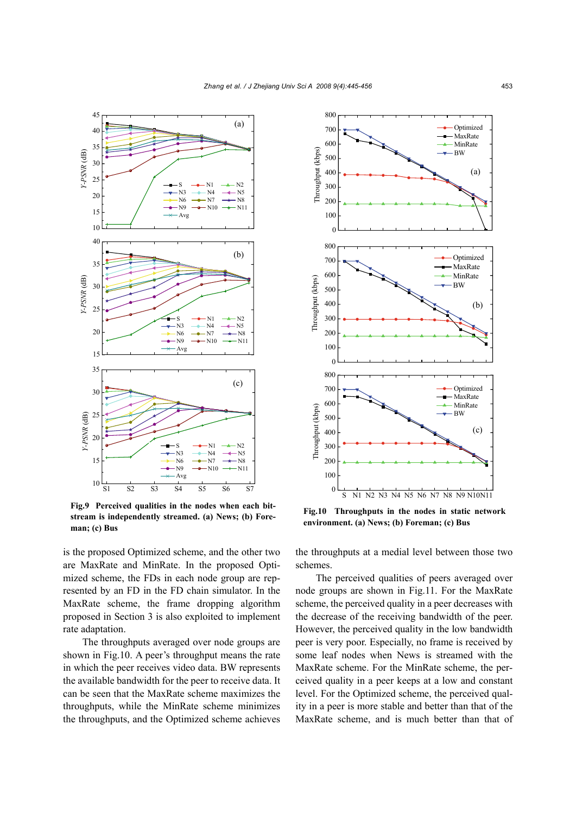

**Fig.9 Perceived qualities in the nodes when each bitstream is independently streamed. (a) News; (b) Foreman; (c) Bus** 

is the proposed Optimized scheme, and the other two are MaxRate and MinRate. In the proposed Optimized scheme, the FDs in each node group are represented by an FD in the FD chain simulator. In the MaxRate scheme, the frame dropping algorithm proposed in Section 3 is also exploited to implement rate adaptation.

The throughputs averaged over node groups are shown in Fig.10. A peer's throughput means the rate in which the peer receives video data. BW represents the available bandwidth for the peer to receive data. It can be seen that the MaxRate scheme maximizes the throughputs, while the MinRate scheme minimizes the throughputs, and the Optimized scheme achieves



**Fig.10 Throughputs in the nodes in static network environment. (a) News; (b) Foreman; (c) Bus** 

the throughputs at a medial level between those two schemes.

The perceived qualities of peers averaged over node groups are shown in Fig.11. For the MaxRate scheme, the perceived quality in a peer decreases with the decrease of the receiving bandwidth of the peer. However, the perceived quality in the low bandwidth peer is very poor. Especially, no frame is received by some leaf nodes when News is streamed with the MaxRate scheme. For the MinRate scheme, the perceived quality in a peer keeps at a low and constant level. For the Optimized scheme, the perceived quality in a peer is more stable and better than that of the MaxRate scheme, and is much better than that of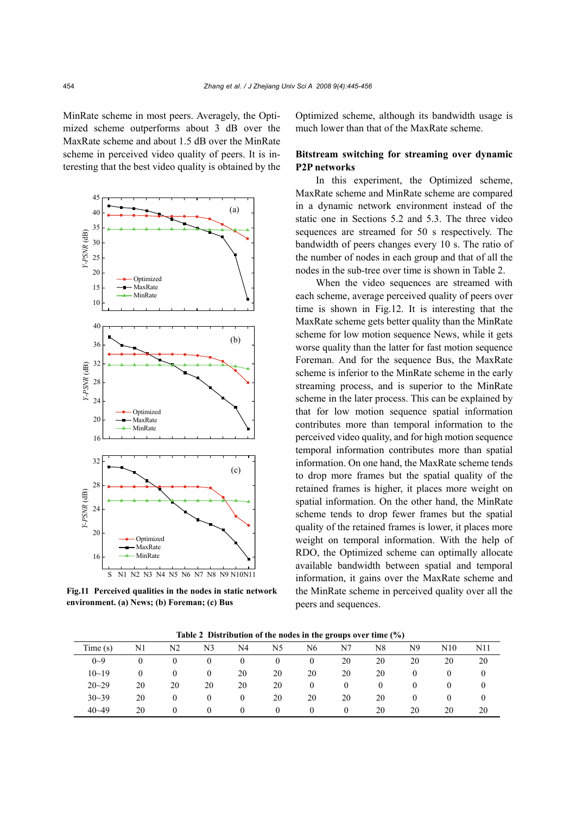MinRate scheme in most peers. Averagely, the Optimized scheme outperforms about 3 dB over the MaxRate scheme and about 1.5 dB over the MinRate scheme in perceived video quality of peers. It is interesting that the best video quality is obtained by the



**Fig.11 Perceived qualities in the nodes in static network environment. (a) News; (b) Foreman; (c) Bus** 

Optimized scheme, although its bandwidth usage is much lower than that of the MaxRate scheme.

# **Bitstream switching for streaming over dynamic P2P networks**

In this experiment, the Optimized scheme, MaxRate scheme and MinRate scheme are compared in a dynamic network environment instead of the static one in Sections 5.2 and 5.3. The three video sequences are streamed for 50 s respectively. The bandwidth of peers changes every 10 s. The ratio of the number of nodes in each group and that of all the nodes in the sub-tree over time is shown in Table 2.

When the video sequences are streamed with each scheme, average perceived quality of peers over time is shown in Fig.12. It is interesting that the MaxRate scheme gets better quality than the MinRate scheme for low motion sequence News, while it gets worse quality than the latter for fast motion sequence Foreman. And for the sequence Bus, the MaxRate scheme is inferior to the MinRate scheme in the early streaming process, and is superior to the MinRate scheme in the later process. This can be explained by that for low motion sequence spatial information contributes more than temporal information to the perceived video quality, and for high motion sequence temporal information contributes more than spatial information. On one hand, the MaxRate scheme tends to drop more frames but the spatial quality of the retained frames is higher, it places more weight on spatial information. On the other hand, the MinRate scheme tends to drop fewer frames but the spatial quality of the retained frames is lower, it places more weight on temporal information. With the help of RDO, the Optimized scheme can optimally allocate available bandwidth between spatial and temporal information, it gains over the MaxRate scheme and the MinRate scheme in perceived quality over all the peers and sequences.

Time (s) N1 N2 N3 N4 N5 N6 N7 N8 N9 N10 N11  $0 \rightarrow 9$  0 0 0 0 0 0 0 20 20 20 20 20 10~19 0 0 0 20 20 20 20 20 0 0 0 20~29 20 20 20 20 20 0 0 0 0 0 0 30~39 20 0 0 0 20 20 20 20 0 0 0

40~49 20 0 0 0 0 0 0 20 20 20 20

**Table 2 Distribution of the nodes in the groups over time (%)**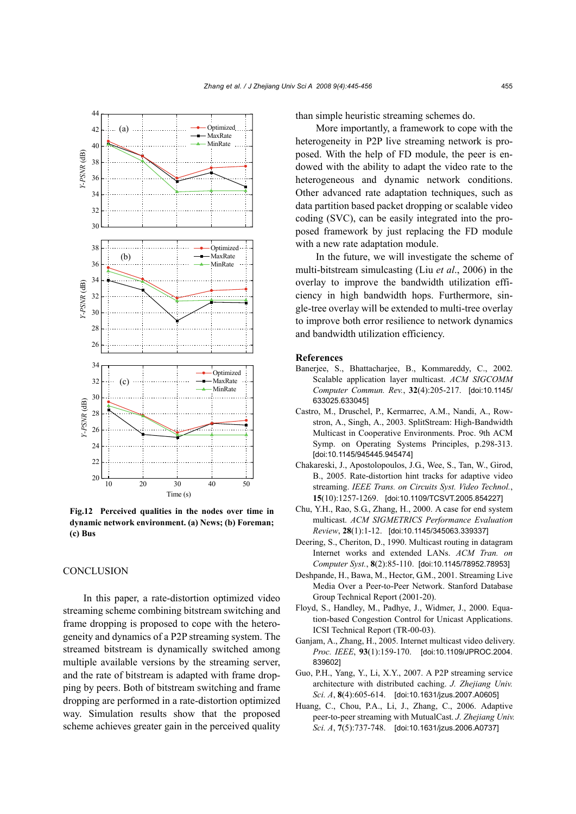

**Fig.12 Perceived qualities in the nodes over time in dynamic network environment. (a) News; (b) Foreman; (c) Bus** 

#### **CONCLUSION**

In this paper, a rate-distortion optimized video streaming scheme combining bitstream switching and frame dropping is proposed to cope with the heterogeneity and dynamics of a P2P streaming system. The streamed bitstream is dynamically switched among multiple available versions by the streaming server, and the rate of bitstream is adapted with frame dropping by peers. Both of bitstream switching and frame dropping are performed in a rate-distortion optimized way. Simulation results show that the proposed scheme achieves greater gain in the perceived quality

than simple heuristic streaming schemes do.

More importantly, a framework to cope with the heterogeneity in P2P live streaming network is proposed. With the help of FD module, the peer is endowed with the ability to adapt the video rate to the heterogeneous and dynamic network conditions. Other advanced rate adaptation techniques, such as data partition based packet dropping or scalable video coding (SVC), can be easily integrated into the proposed framework by just replacing the FD module with a new rate adaptation module.

In the future, we will investigate the scheme of multi-bitstream simulcasting (Liu *et al*., 2006) in the overlay to improve the bandwidth utilization efficiency in high bandwidth hops. Furthermore, single-tree overlay will be extended to multi-tree overlay to improve both error resilience to network dynamics and bandwidth utilization efficiency.

#### **References**

- Banerjee, S., Bhattacharjee, B., Kommareddy, C., 2002. Scalable application layer multicast. *ACM SIGCOMM Computer Commun. Rev.*, **32**(4):205-217. [doi:10.1145/ 633025.633045]
- Castro, M., Druschel, P., Kermarrec, A.M., Nandi, A., Rowstron, A., Singh, A., 2003. SplitStream: High-Bandwidth Multicast in Cooperative Environments. Proc. 9th ACM Symp. on Operating Systems Principles, p.298-313. [doi:10.1145/945445.945474]
- Chakareski, J., Apostolopoulos, J.G., Wee, S., Tan, W., Girod, B., 2005. Rate-distortion hint tracks for adaptive video streaming. *IEEE Trans. on Circuits Syst. Video Technol.*, **15**(10):1257-1269. [doi:10.1109/TCSVT.2005.854227]
- Chu, Y.H., Rao, S.G., Zhang, H., 2000. A case for end system multicast. *ACM SIGMETRICS Performance Evaluation Review*, **28**(1):1-12. [doi:10.1145/345063.339337]
- Deering, S., Cheriton, D., 1990. Multicast routing in datagram Internet works and extended LANs. *ACM Tran. on Computer Syst.*, **8**(2):85-110. [doi:10.1145/78952.78953]
- Deshpande, H., Bawa, M., Hector, G.M., 2001. Streaming Live Media Over a Peer-to-Peer Network. Stanford Database Group Technical Report (2001-20).
- Floyd, S., Handley, M., Padhye, J., Widmer, J., 2000. Equation-based Congestion Control for Unicast Applications. ICSI Technical Report (TR-00-03).
- Ganjam, A., Zhang, H., 2005. Internet multicast video delivery. *Proc. IEEE*, **93**(1):159-170. [doi:10.1109/JPROC.2004. 839602]
- Guo, P.H., Yang, Y., Li, X.Y., 2007. A P2P streaming service architecture with distributed caching. *J. Zhejiang Univ. Sci. A*, **8**(4):605-614. [doi:10.1631/jzus.2007.A0605]
- Huang, C., Chou, P.A., Li, J., Zhang, C., 2006. Adaptive peer-to-peer streaming with MutualCast. *J. Zhejiang Univ. Sci. A*, **7**(5):737-748. [doi:10.1631/jzus.2006.A0737]